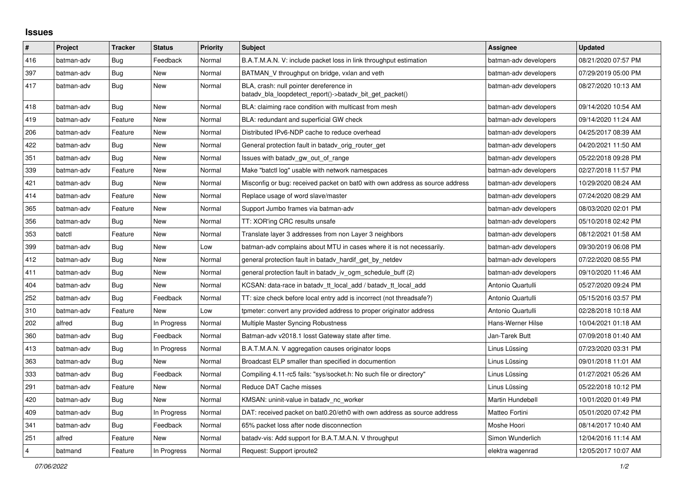## **Issues**

| $\vert$ #      | Project    | <b>Tracker</b> | <b>Status</b> | <b>Priority</b> | <b>Subject</b>                                                                                     | Assignee              | <b>Updated</b>      |
|----------------|------------|----------------|---------------|-----------------|----------------------------------------------------------------------------------------------------|-----------------------|---------------------|
| 416            | batman-adv | Bug            | Feedback      | Normal          | B.A.T.M.A.N. V: include packet loss in link throughput estimation                                  | batman-adv developers | 08/21/2020 07:57 PM |
| 397            | batman-adv | Bug            | <b>New</b>    | Normal          | BATMAN_V throughput on bridge, vxlan and veth                                                      | batman-adv developers | 07/29/2019 05:00 PM |
| 417            | batman-adv | <b>Bug</b>     | New           | Normal          | BLA, crash: null pointer dereference in<br>batady bla loopdetect report()->batady bit get packet() | batman-adv developers | 08/27/2020 10:13 AM |
| 418            | batman-adv | <b>Bug</b>     | <b>New</b>    | Normal          | BLA: claiming race condition with multicast from mesh                                              | batman-adv developers | 09/14/2020 10:54 AM |
| 419            | batman-adv | Feature        | <b>New</b>    | Normal          | BLA: redundant and superficial GW check                                                            | batman-adv developers | 09/14/2020 11:24 AM |
| 206            | batman-adv | Feature        | <b>New</b>    | Normal          | Distributed IPv6-NDP cache to reduce overhead                                                      | batman-adv developers | 04/25/2017 08:39 AM |
| 422            | batman-adv | Bug            | New           | Normal          | General protection fault in batady orig router get                                                 | batman-adv developers | 04/20/2021 11:50 AM |
| 351            | batman-adv | Bug            | New           | Normal          | Issues with batady gw_out_of_range                                                                 | batman-adv developers | 05/22/2018 09:28 PM |
| 339            | batman-adv | Feature        | New           | Normal          | Make "batctl log" usable with network namespaces                                                   | batman-adv developers | 02/27/2018 11:57 PM |
| 421            | batman-adv | Bug            | <b>New</b>    | Normal          | Misconfig or bug: received packet on bat0 with own address as source address                       | batman-adv developers | 10/29/2020 08:24 AM |
| 414            | batman-adv | Feature        | New           | Normal          | Replace usage of word slave/master                                                                 | batman-adv developers | 07/24/2020 08:29 AM |
| 365            | batman-adv | Feature        | New           | Normal          | Support Jumbo frames via batman-adv                                                                | batman-adv developers | 08/03/2020 02:01 PM |
| 356            | batman-adv | Bug            | New           | Normal          | TT: XOR'ing CRC results unsafe                                                                     | batman-adv developers | 05/10/2018 02:42 PM |
| 353            | batctl     | Feature        | New           | Normal          | Translate layer 3 addresses from non Layer 3 neighbors                                             | batman-adv developers | 08/12/2021 01:58 AM |
| 399            | batman-adv | Bug            | New           | Low             | batman-adv complains about MTU in cases where it is not necessarily.                               | batman-adv developers | 09/30/2019 06:08 PM |
| 412            | batman-adv | Bug            | New           | Normal          | general protection fault in batady_hardif_get_by_netdev                                            | batman-adv developers | 07/22/2020 08:55 PM |
| 411            | batman-adv | Bug            | New           | Normal          | general protection fault in batady iv ogm schedule buff (2)                                        | batman-adv developers | 09/10/2020 11:46 AM |
| 404            | batman-adv | Bug            | New           | Normal          | KCSAN: data-race in batady tt local add / batady tt local add                                      | Antonio Quartulli     | 05/27/2020 09:24 PM |
| 252            | batman-adv | <b>Bug</b>     | Feedback      | Normal          | TT: size check before local entry add is incorrect (not threadsafe?)                               | Antonio Quartulli     | 05/15/2016 03:57 PM |
| 310            | batman-adv | Feature        | <b>New</b>    | Low             | tpmeter: convert any provided address to proper originator address                                 | Antonio Quartulli     | 02/28/2018 10:18 AM |
| 202            | alfred     | Bug            | In Progress   | Normal          | Multiple Master Syncing Robustness                                                                 | Hans-Werner Hilse     | 10/04/2021 01:18 AM |
| 360            | batman-adv | Bug            | Feedback      | Normal          | Batman-adv v2018.1 losst Gateway state after time.                                                 | Jan-Tarek Butt        | 07/09/2018 01:40 AM |
| 413            | batman-adv | <b>Bug</b>     | In Progress   | Normal          | B.A.T.M.A.N. V aggregation causes originator loops                                                 | Linus Lüssing         | 07/23/2020 03:31 PM |
| 363            | batman-adv | <b>Bug</b>     | <b>New</b>    | Normal          | Broadcast ELP smaller than specified in documention                                                | Linus Lüssing         | 09/01/2018 11:01 AM |
| 333            | batman-adv | Bug            | Feedback      | Normal          | Compiling 4.11-rc5 fails: "sys/socket.h: No such file or directory"                                | Linus Lüssing         | 01/27/2021 05:26 AM |
| 291            | batman-adv | Feature        | New           | Normal          | Reduce DAT Cache misses                                                                            | Linus Lüssing         | 05/22/2018 10:12 PM |
| 420            | batman-adv | Bug            | <b>New</b>    | Normal          | KMSAN: uninit-value in batady_nc_worker                                                            | Martin Hundebøll      | 10/01/2020 01:49 PM |
| 409            | batman-adv | Bug            | In Progress   | Normal          | DAT: received packet on bat0.20/eth0 with own address as source address                            | Matteo Fortini        | 05/01/2020 07:42 PM |
| 341            | batman-adv | Bug            | Feedback      | Normal          | 65% packet loss after node disconnection                                                           | Moshe Hoori           | 08/14/2017 10:40 AM |
| 251            | alfred     | Feature        | <b>New</b>    | Normal          | batady-vis: Add support for B.A.T.M.A.N. V throughput                                              | Simon Wunderlich      | 12/04/2016 11:14 AM |
| $\overline{4}$ | batmand    | Feature        | In Progress   | Normal          | Request: Support iproute2                                                                          | elektra wagenrad      | 12/05/2017 10:07 AM |